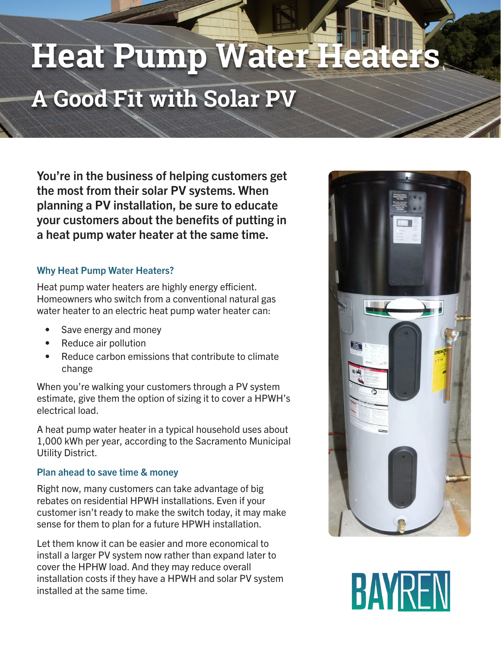# **A Good Fit with Solar PV Heat Pump Water Heate**

You're in the business of helping customers get the most from their solar PV systems. When planning a PV installation, be sure to educate your customers about the benefits of putting in a heat pump water heater at the same time.

## Why Heat Pump Water Heaters?

Heat pump water heaters are highly energy efficient. Homeowners who switch from a conventional natural gas water heater to an electric heat pump water heater can:

- Save energy and money
- Reduce air pollution
- Reduce carbon emissions that contribute to climate change

When you're walking your customers through a PV system estimate, give them the option of sizing it to cover a HPWH's electrical load.

A heat pump water heater in a typical household uses about 1,000 kWh per year, according to the Sacramento Municipal Utility District.

## Plan ahead to save time & money

Right now, many customers can take advantage of big rebates on residential HPWH installations. Even if your customer isn't ready to make the switch today, it may make sense for them to plan for a future HPWH installation.

Let them know it can be easier and more economical to install a larger PV system now rather than expand later to cover the HPHW load. And they may reduce overall installation costs if they have a HPWH and solar PV system installed at the same time.